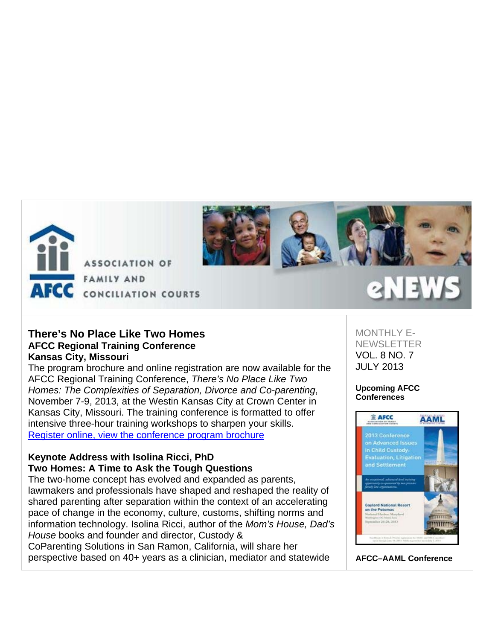



## **There's No Place Like Two Homes AFCC Regional Training Conference Kansas City, Missouri**

The program brochure and online registration are now available for the AFCC Regional Training Conference, *There's No Place Like Two Homes: The Complexities of Separation, Divorce and Co-parenting*, November 7-9, 2013, at the Westin Kansas City at Crown Center in Kansas City, Missouri. The training conference is formatted to offer intensive three-hour training workshops to sharpen your skills. Register online, view the conference program brochure

## **Keynote Address with Isolina Ricci, PhD Two Homes: A Time to Ask the Tough Questions**

The two-home concept has evolved and expanded as parents, lawmakers and professionals have shaped and reshaped the reality of shared parenting after separation within the context of an accelerating pace of change in the economy, culture, customs, shifting norms and information technology. Isolina Ricci, author of the *Mom's House, Dad's House* books and founder and director, Custody &

CoParenting Solutions in San Ramon, California, will share her perspective based on 40+ years as a clinician, mediator and statewide

## MONTHLY E-**NEWSLETTER** VOL. 8 NO. 7 JULY 2013

### **Upcoming AFCC Conferences**



**AFCC–AAML Conference**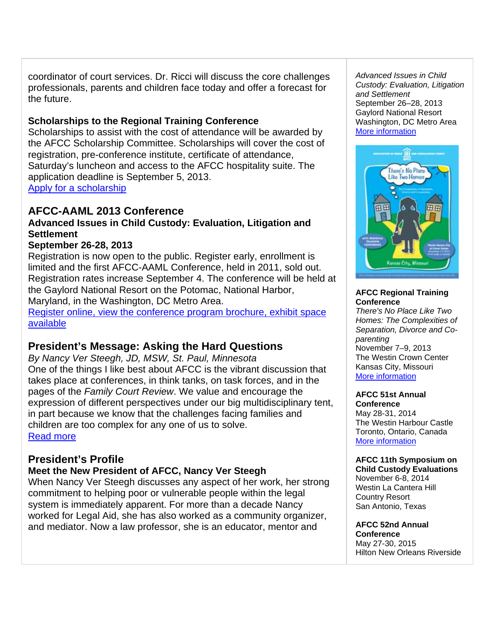coordinator of court services. Dr. Ricci will discuss the core challenges professionals, parents and children face today and offer a forecast for the future.

## **Scholarships to the Regional Training Conference**

Scholarships to assist with the cost of attendance will be awarded by the AFCC Scholarship Committee. Scholarships will cover the cost of registration, pre-conference institute, certificate of attendance, Saturday's luncheon and access to the AFCC hospitality suite. The application deadline is September 5, 2013. Apply for a scholarship

# **AFCC-AAML 2013 Conference**

## **Advanced Issues in Child Custody: Evaluation, Litigation and Settlement**

## **September 26-28, 2013**

Registration is now open to the public. Register early, enrollment is limited and the first AFCC-AAML Conference, held in 2011, sold out. Registration rates increase September 4. The conference will be held at the Gaylord National Resort on the Potomac, National Harbor, Maryland, in the Washington, DC Metro Area.

Register online, view the conference program brochure, exhibit space available

# **President's Message: Asking the Hard Questions**

*By Nancy Ver Steegh, JD, MSW, St. Paul, Minnesota* One of the things I like best about AFCC is the vibrant discussion that takes place at conferences, in think tanks, on task forces, and in the pages of the *Family Court Review*. We value and encourage the expression of different perspectives under our big multidisciplinary tent, in part because we know that the challenges facing families and children are too complex for any one of us to solve. Read more

# **President's Profile**

# **Meet the New President of AFCC, Nancy Ver Steegh**

When Nancy Ver Steegh discusses any aspect of her work, her strong commitment to helping poor or vulnerable people within the legal system is immediately apparent. For more than a decade Nancy worked for Legal Aid, she has also worked as a community organizer, and mediator. Now a law professor, she is an educator, mentor and

*Advanced Issues in Child Custody: Evaluation, Litigation and Settlement* September 26–28, 2013 Gaylord National Resort Washington, DC Metro Area More information



### **AFCC Regional Training Conference**

*There's No Place Like Two Homes: The Complexities of Separation, Divorce and Coparenting*  November 7–9, 2013 The Westin Crown Center Kansas City, Missouri More information

#### **AFCC 51st Annual Conference**

May 28-31, 2014 The Westin Harbour Castle Toronto, Ontario, Canada More information

## **AFCC 11th Symposium on**

**Child Custody Evaluations** November 6-8, 2014 Westin La Cantera Hill Country Resort San Antonio, Texas

**AFCC 52nd Annual Conference** May 27-30, 2015 Hilton New Orleans Riverside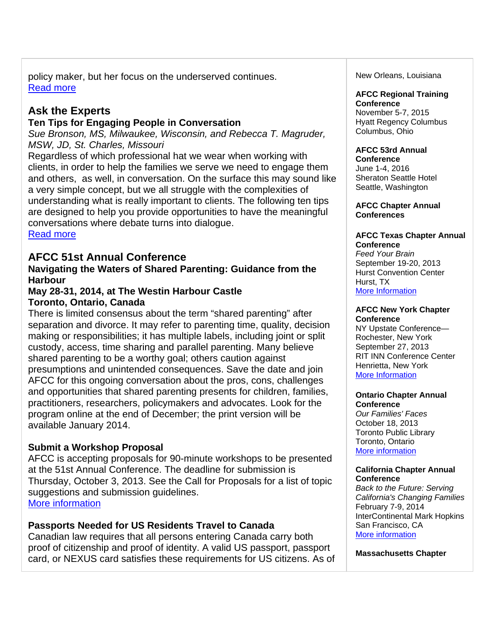policy maker, but her focus on the underserved continues. Read more

# **Ask the Experts**

## **Ten Tips for Engaging People in Conversation**

*Sue Bronson, MS, Milwaukee, Wisconsin, and Rebecca T. Magruder, MSW, JD, St. Charles, Missouri* 

Regardless of which professional hat we wear when working with clients, in order to help the families we serve we need to engage them and others, as well, in conversation. On the surface this may sound like a very simple concept, but we all struggle with the complexities of understanding what is really important to clients. The following ten tips are designed to help you provide opportunities to have the meaningful conversations where debate turns into dialogue.

Read more

## **AFCC 51st Annual Conference**

## **Navigating the Waters of Shared Parenting: Guidance from the Harbour**

## **May 28-31, 2014, at The Westin Harbour Castle Toronto, Ontario, Canada**

There is limited consensus about the term "shared parenting" after separation and divorce. It may refer to parenting time, quality, decision making or responsibilities; it has multiple labels, including joint or split custody, access, time sharing and parallel parenting. Many believe shared parenting to be a worthy goal; others caution against presumptions and unintended consequences. Save the date and join AFCC for this ongoing conversation about the pros, cons, challenges and opportunities that shared parenting presents for children, families, practitioners, researchers, policymakers and advocates. Look for the program online at the end of December; the print version will be available January 2014.

## **Submit a Workshop Proposal**

AFCC is accepting proposals for 90-minute workshops to be presented at the 51st Annual Conference. The deadline for submission is Thursday, October 3, 2013. See the Call for Proposals for a list of topic suggestions and submission guidelines. More information

## **Passports Needed for US Residents Travel to Canada**

Canadian law requires that all persons entering Canada carry both proof of citizenship and proof of identity. A valid US passport, passport card, or NEXUS card satisfies these requirements for US citizens. As of New Orleans, Louisiana

#### **AFCC Regional Training Conference**

November 5-7, 2015 Hyatt Regency Columbus Columbus, Ohio

#### **AFCC 53rd Annual Conference**

June 1-4, 2016 Sheraton Seattle Hotel Seattle, Washington

**AFCC Chapter Annual Conferences**

### **AFCC Texas Chapter Annual Conference**

*Feed Your Brain* September 19-20, 2013 Hurst Convention Center Hurst, TX More Information

#### **AFCC New York Chapter Conference**

NY Upstate Conference— Rochester, New York September 27, 2013 RIT INN Conference Center Henrietta, New York More Information

### **Ontario Chapter Annual Conference**

*Our Families' Faces*  October 18, 2013 Toronto Public Library Toronto, Ontario More information

### **California Chapter Annual Conference**

*Back to the Future: Serving California's Changing Families* February 7-9, 2014 InterContinental Mark Hopkins San Francisco, CA More information

**Massachusetts Chapter**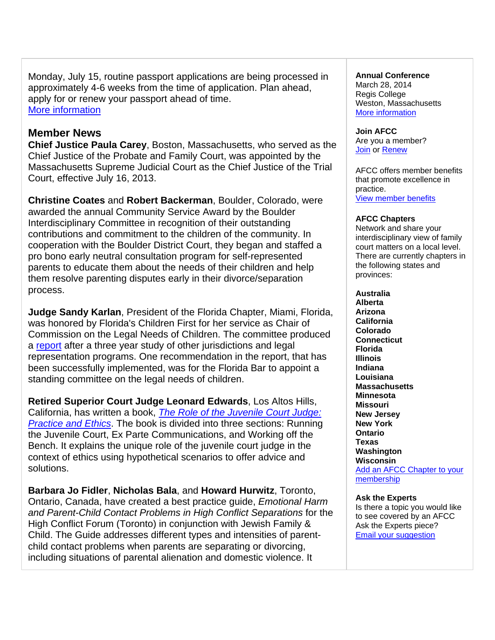Monday, July 15, routine passport applications are being processed in approximately 4-6 weeks from the time of application. Plan ahead, apply for or renew your passport ahead of time. More information

## **Member News**

**Chief Justice Paula Carey**, Boston, Massachusetts, who served as the Chief Justice of the Probate and Family Court, was appointed by the Massachusetts Supreme Judicial Court as the Chief Justice of the Trial Court, effective July 16, 2013.

**Christine Coates** and **Robert Backerman**, Boulder, Colorado, were awarded the annual Community Service Award by the Boulder Interdisciplinary Committee in recognition of their outstanding contributions and commitment to the children of the community. In cooperation with the Boulder District Court, they began and staffed a pro bono early neutral consultation program for self-represented parents to educate them about the needs of their children and help them resolve parenting disputes early in their divorce/separation process.

**Judge Sandy Karlan**, President of the Florida Chapter, Miami, Florida, was honored by Florida's Children First for her service as Chair of Commission on the Legal Needs of Children. The committee produced a report after a three year study of other jurisdictions and legal representation programs. One recommendation in the report, that has been successfully implemented, was for the Florida Bar to appoint a standing committee on the legal needs of children.

**Retired Superior Court Judge Leonard Edwards**, Los Altos Hills, California, has written a book, *The Role of the Juvenile Court Judge: Practice and Ethics*. The book is divided into three sections: Running the Juvenile Court, Ex Parte Communications, and Working off the Bench. It explains the unique role of the juvenile court judge in the context of ethics using hypothetical scenarios to offer advice and solutions.

**Barbara Jo Fidler**, **Nicholas Bala**, and **Howard Hurwitz**, Toronto, Ontario, Canada, have created a best practice guide, *Emotional Harm and Parent-Child Contact Problems in High Conflict Separations* for the High Conflict Forum (Toronto) in conjunction with Jewish Family & Child. The Guide addresses different types and intensities of parentchild contact problems when parents are separating or divorcing, including situations of parental alienation and domestic violence. It

### **Annual Conference**

March 28, 2014 Regis College Weston, Massachusetts More information

**Join AFCC** Are you a member? Join or Renew

AFCC offers member benefits that promote excellence in practice. View member benefits

### **AFCC Chapters**

Network and share your interdisciplinary view of family court matters on a local level. There are currently chapters in the following states and provinces:

**Australia Alberta Arizona California Colorado Connecticut Florida Illinois Indiana Louisiana Massachusetts Minnesota Missouri New Jersey New York Ontario Texas Washington Wisconsin**  Add an AFCC Chapter to your membership

### **Ask the Experts**

Is there a topic you would like to see covered by an AFCC Ask the Experts piece? Email your suggestion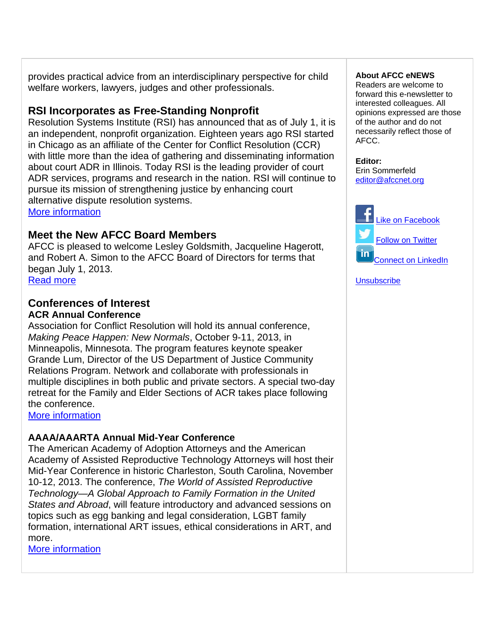provides practical advice from an interdisciplinary perspective for child welfare workers, lawyers, judges and other professionals.

# **RSI Incorporates as Free-Standing Nonprofit**

Resolution Systems Institute (RSI) has announced that as of July 1, it is an independent, nonprofit organization. Eighteen years ago RSI started in Chicago as an affiliate of the Center for Conflict Resolution (CCR) with little more than the idea of gathering and disseminating information about court ADR in Illinois. Today RSI is the leading provider of court ADR services, programs and research in the nation. RSI will continue to pursue its mission of strengthening justice by enhancing court alternative dispute resolution systems.

More information

# **Meet the New AFCC Board Members**

AFCC is pleased to welcome Lesley Goldsmith, Jacqueline Hagerott, and Robert A. Simon to the AFCC Board of Directors for terms that began July 1, 2013. Read more

## **Conferences of Interest ACR Annual Conference**

Association for Conflict Resolution will hold its annual conference, *Making Peace Happen: New Normals*, October 9-11, 2013, in Minneapolis, Minnesota. The program features keynote speaker Grande Lum, Director of the US Department of Justice Community Relations Program. Network and collaborate with professionals in multiple disciplines in both public and private sectors. A special two-day retreat for the Family and Elder Sections of ACR takes place following the conference.

More information

## **AAAA/AAARTA Annual Mid-Year Conference**

The American Academy of Adoption Attorneys and the American Academy of Assisted Reproductive Technology Attorneys will host their Mid-Year Conference in historic Charleston, South Carolina, November 10-12, 2013. The conference, *The World of Assisted Reproductive Technology—A Global Approach to Family Formation in the United States and Abroad*, will feature introductory and advanced sessions on topics such as egg banking and legal consideration, LGBT family formation, international ART issues, ethical considerations in ART, and more.

More information

### **About AFCC eNEWS**

Readers are welcome to forward this e-newsletter to interested colleagues. All opinions expressed are those of the author and do not necessarily reflect those of AFCC.

**Editor:**  Erin Sommerfeld editor@afccnet.org



**Unsubscribe**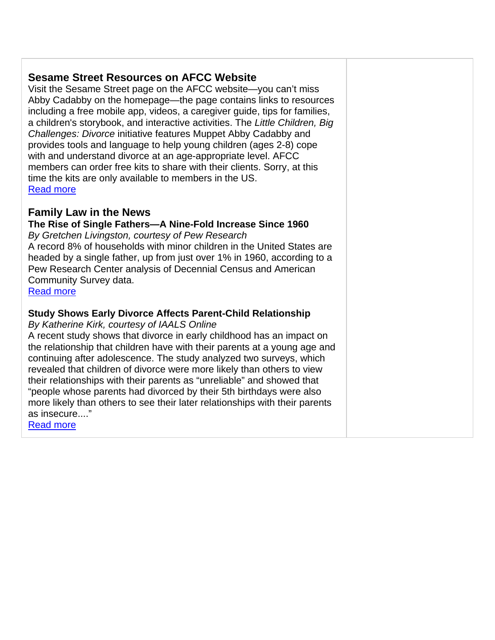# **Sesame Street Resources on AFCC Website**

Visit the Sesame Street page on the AFCC website—you can't miss Abby Cadabby on the homepage—the page contains links to resources including a free mobile app, videos, a caregiver guide, tips for families, a children's storybook, and interactive activities. The *Little Children, Big Challenges: Divorce* initiative features Muppet Abby Cadabby and provides tools and language to help young children (ages 2-8) cope with and understand divorce at an age-appropriate level. AFCC members can order free kits to share with their clients. Sorry, at this time the kits are only available to members in the US. Read more

# **Family Law in the News**

**The Rise of Single Fathers—A Nine-Fold Increase Since 1960**

*By Gretchen Livingston, courtesy of Pew Research* A record 8% of households with minor children in the United States are headed by a single father, up from just over 1% in 1960, according to a Pew Research Center analysis of Decennial Census and American Community Survey data.

Read more

## **Study Shows Early Divorce Affects Parent-Child Relationship**

*By Katherine Kirk, courtesy of IAALS Online*

A recent study shows that divorce in early childhood has an impact on the relationship that children have with their parents at a young age and continuing after adolescence. The study analyzed two surveys, which revealed that children of divorce were more likely than others to view their relationships with their parents as "unreliable" and showed that "people whose parents had divorced by their 5th birthdays were also more likely than others to see their later relationships with their parents as insecure...."

Read more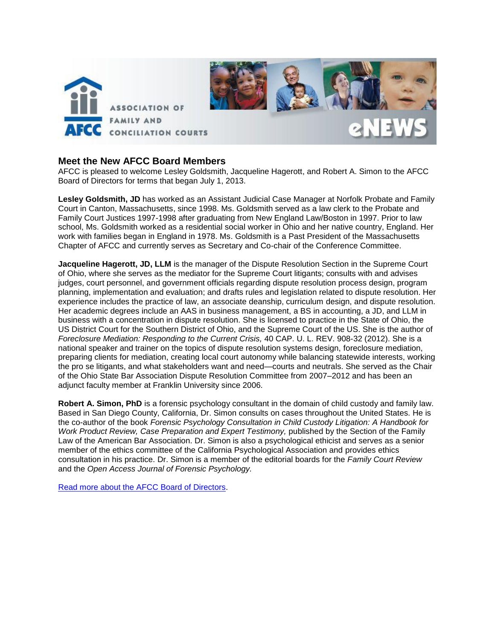

### **Meet the New AFCC Board Members**

AFCC is pleased to welcome Lesley Goldsmith, Jacqueline Hagerott, and Robert A. Simon to the AFCC Board of Directors for terms that began July 1, 2013.

**Lesley Goldsmith, JD** has worked as an Assistant Judicial Case Manager at Norfolk Probate and Family Court in Canton, Massachusetts, since 1998. Ms. Goldsmith served as a law clerk to the Probate and Family Court Justices 1997-1998 after graduating from New England Law/Boston in 1997. Prior to law school, Ms. Goldsmith worked as a residential social worker in Ohio and her native country, England. Her work with families began in England in 1978. Ms. Goldsmith is a Past President of the Massachusetts Chapter of AFCC and currently serves as Secretary and Co-chair of the Conference Committee.

**Jacqueline Hagerott, JD, LLM** is the manager of the Dispute Resolution Section in the Supreme Court of Ohio, where she serves as the mediator for the Supreme Court litigants; consults with and advises judges, court personnel, and government officials regarding dispute resolution process design, program planning, implementation and evaluation; and drafts rules and legislation related to dispute resolution. Her experience includes the practice of law, an associate deanship, curriculum design, and dispute resolution. Her academic degrees include an AAS in business management, a BS in accounting, a JD, and LLM in business with a concentration in dispute resolution. She is licensed to practice in the State of Ohio, the US District Court for the Southern District of Ohio, and the Supreme Court of the US. She is the author of *Foreclosure Mediation: Responding to the Current Crisis,* 40 CAP. U. L. REV. 908-32 (2012). She is a national speaker and trainer on the topics of dispute resolution systems design, foreclosure mediation, preparing clients for mediation, creating local court autonomy while balancing statewide interests, working the pro se litigants, and what stakeholders want and need—courts and neutrals. She served as the Chair of the Ohio State Bar Association Dispute Resolution Committee from 2007–2012 and has been an adjunct faculty member at Franklin University since 2006.

**Robert A. Simon, PhD** is a forensic psychology consultant in the domain of child custody and family law. Based in San Diego County, California, Dr. Simon consults on cases throughout the United States. He is the co-author of the book *Forensic Psychology Consultation in Child Custody Litigation: A Handbook for Work Product Review, Case Preparation and Expert Testimony, published by the Section of the Family* Law of the American Bar Association. Dr. Simon is also a psychological ethicist and serves as a senior member of the ethics committee of the California Psychological Association and provides ethics consultation in his practice. Dr. Simon is a member of the editorial boards for the *Family Court Review* and the *Open Access Journal of Forensic Psychology.* 

[Read more about the AFCC Board of Directors.](http://www.afccnet.org/About/BoardofDirectors)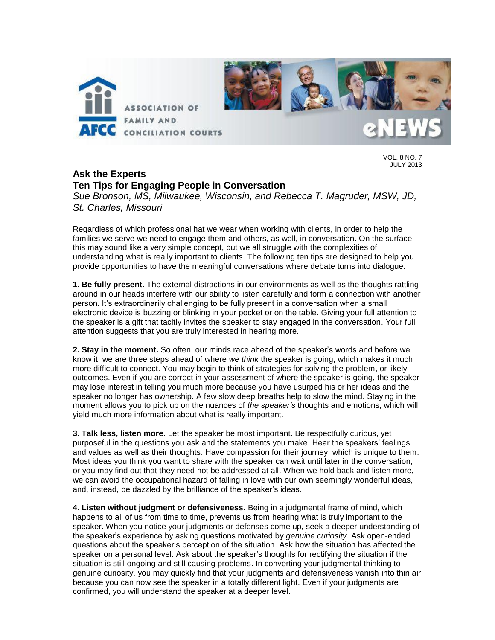

VOL. 8 NO. 7 JULY 2013

# **Ask the Experts Ten Tips for Engaging People in Conversation**

*Sue Bronson, MS, Milwaukee, Wisconsin, and Rebecca T. Magruder, MSW, JD, St. Charles, Missouri*

Regardless of which professional hat we wear when working with clients, in order to help the families we serve we need to engage them and others, as well, in conversation. On the surface this may sound like a very simple concept, but we all struggle with the complexities of understanding what is really important to clients. The following ten tips are designed to help you provide opportunities to have the meaningful conversations where debate turns into dialogue.

**1. Be fully present.** The external distractions in our environments as well as the thoughts rattling around in our heads interfere with our ability to listen carefully and form a connection with another person. It's extraordinarily challenging to be fully present in a conversation when a small electronic device is buzzing or blinking in your pocket or on the table. Giving your full attention to the speaker is a gift that tacitly invites the speaker to stay engaged in the conversation. Your full attention suggests that you are truly interested in hearing more.

**2. Stay in the moment.** So often, our minds race ahead of the speaker's words and before we know it, we are three steps ahead of where *we think* the speaker is going, which makes it much more difficult to connect. You may begin to think of strategies for solving the problem, or likely outcomes. Even if you are correct in your assessment of where the speaker is going, the speaker may lose interest in telling you much more because you have usurped his or her ideas and the speaker no longer has ownership. A few slow deep breaths help to slow the mind. Staying in the moment allows you to pick up on the nuances of *the speaker's* thoughts and emotions, which will yield much more information about what is really important.

**3. Talk less, listen more.** Let the speaker be most important. Be respectfully curious, yet purposeful in the questions you ask and the statements you make. Hear the speakers' feelings and values as well as their thoughts. Have compassion for their journey, which is unique to them. Most ideas you think you want to share with the speaker can wait until later in the conversation, or you may find out that they need not be addressed at all. When we hold back and listen more, we can avoid the occupational hazard of falling in love with our own seemingly wonderful ideas, and, instead, be dazzled by the brilliance of the speaker's ideas.

**4. Listen without judgment or defensiveness.** Being in a judgmental frame of mind, which happens to all of us from time to time, prevents us from hearing what is truly important to the speaker. When you notice your judgments or defenses come up, seek a deeper understanding of the speaker's experience by asking questions motivated by *genuine curiosity*. Ask open-ended questions about the speaker's perception of the situation. Ask how the situation has affected the speaker on a personal level. Ask about the speaker's thoughts for rectifying the situation if the situation is still ongoing and still causing problems. In converting your judgmental thinking to genuine curiosity, you may quickly find that your judgments and defensiveness vanish into thin air because you can now see the speaker in a totally different light. Even if your judgments are confirmed, you will understand the speaker at a deeper level.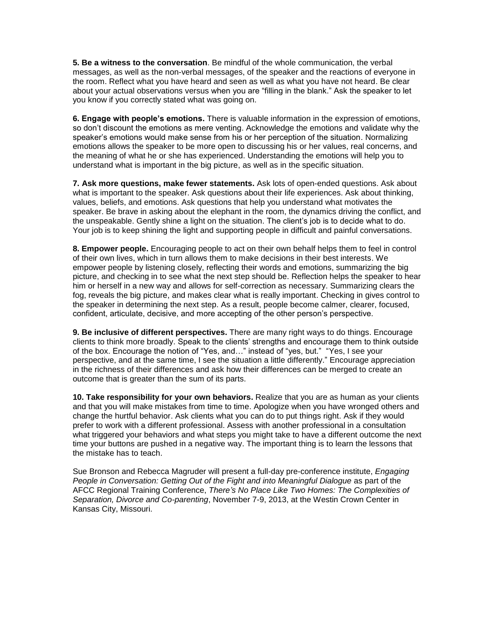**5. Be a witness to the conversation**. Be mindful of the whole communication, the verbal messages, as well as the non-verbal messages, of the speaker and the reactions of everyone in the room. Reflect what you have heard and seen as well as what you have not heard. Be clear about your actual observations versus when you are "filling in the blank." Ask the speaker to let you know if you correctly stated what was going on.

**6. Engage with people's emotions.** There is valuable information in the expression of emotions, so don't discount the emotions as mere venting. Acknowledge the emotions and validate why the speaker's emotions would make sense from his or her perception of the situation. Normalizing emotions allows the speaker to be more open to discussing his or her values, real concerns, and the meaning of what he or she has experienced. Understanding the emotions will help you to understand what is important in the big picture, as well as in the specific situation.

**7. Ask more questions, make fewer statements.** Ask lots of open-ended questions. Ask about what is important to the speaker. Ask questions about their life experiences. Ask about thinking, values, beliefs, and emotions. Ask questions that help you understand what motivates the speaker. Be brave in asking about the elephant in the room, the dynamics driving the conflict, and the unspeakable. Gently shine a light on the situation. The client's job is to decide what to do. Your job is to keep shining the light and supporting people in difficult and painful conversations.

**8. Empower people.** Encouraging people to act on their own behalf helps them to feel in control of their own lives, which in turn allows them to make decisions in their best interests. We empower people by listening closely, reflecting their words and emotions, summarizing the big picture, and checking in to see what the next step should be. Reflection helps the speaker to hear him or herself in a new way and allows for self-correction as necessary. Summarizing clears the fog, reveals the big picture, and makes clear what is really important. Checking in gives control to the speaker in determining the next step. As a result, people become calmer, clearer, focused, confident, articulate, decisive, and more accepting of the other person's perspective.

**9. Be inclusive of different perspectives.** There are many right ways to do things. Encourage clients to think more broadly. Speak to the clients' strengths and encourage them to think outside of the box. Encourage the notion of "Yes, and…" instead of "yes, but." "Yes, I see your perspective, and at the same time, I see the situation a little differently." Encourage appreciation in the richness of their differences and ask how their differences can be merged to create an outcome that is greater than the sum of its parts.

**10. Take responsibility for your own behaviors.** Realize that you are as human as your clients and that you will make mistakes from time to time. Apologize when you have wronged others and change the hurtful behavior. Ask clients what you can do to put things right. Ask if they would prefer to work with a different professional. Assess with another professional in a consultation what triggered your behaviors and what steps you might take to have a different outcome the next time your buttons are pushed in a negative way. The important thing is to learn the lessons that the mistake has to teach.

Sue Bronson and Rebecca Magruder will present a full-day pre-conference institute, *Engaging People in Conversation: Getting Out of the Fight and into Meaningful Dialogue* as part of the AFCC Regional Training Conference, *There's No Place Like Two Homes: The Complexities of Separation, Divorce and Co-parenting*, November 7-9, 2013, at the Westin Crown Center in Kansas City, Missouri.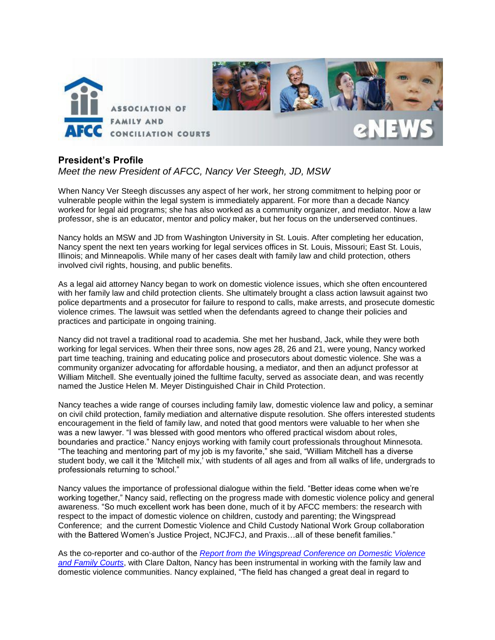

## **President's Profile**

## *Meet the new President of AFCC, Nancy Ver Steegh, JD, MSW*

When Nancy Ver Steegh discusses any aspect of her work, her strong commitment to helping poor or vulnerable people within the legal system is immediately apparent. For more than a decade Nancy worked for legal aid programs; she has also worked as a community organizer, and mediator. Now a law professor, she is an educator, mentor and policy maker, but her focus on the underserved continues.

Nancy holds an MSW and JD from Washington University in St. Louis. After completing her education, Nancy spent the next ten years working for legal services offices in St. Louis, Missouri; East St. Louis, Illinois; and Minneapolis. While many of her cases dealt with family law and child protection, others involved civil rights, housing, and public benefits.

As a legal aid attorney Nancy began to work on domestic violence issues, which she often encountered with her family law and child protection clients. She ultimately brought a class action lawsuit against two police departments and a prosecutor for failure to respond to calls, make arrests, and prosecute domestic violence crimes. The lawsuit was settled when the defendants agreed to change their policies and practices and participate in ongoing training.

Nancy did not travel a traditional road to academia. She met her husband, Jack, while they were both working for legal services. When their three sons, now ages 28, 26 and 21, were young, Nancy worked part time teaching, training and educating police and prosecutors about domestic violence. She was a community organizer advocating for affordable housing, a mediator, and then an adjunct professor at William Mitchell. She eventually joined the fulltime faculty, served as associate dean, and was recently named the Justice Helen M. Meyer Distinguished Chair in Child Protection.

Nancy teaches a wide range of courses including family law, domestic violence law and policy, a seminar on civil child protection, family mediation and alternative dispute resolution. She offers interested students encouragement in the field of family law, and noted that good mentors were valuable to her when she was a new lawyer. "I was blessed with good mentors who offered practical wisdom about roles, boundaries and practice." Nancy enjoys working with family court professionals throughout Minnesota. "The teaching and mentoring part of my job is my favorite," she said, "William Mitchell has a diverse student body, we call it the 'Mitchell mix,' with students of all ages and from all walks of life, undergrads to professionals returning to school."

Nancy values the importance of professional dialogue within the field. "Better ideas come when we're working together," Nancy said, reflecting on the progress made with domestic violence policy and general awareness. "So much excellent work has been done, much of it by AFCC members: the research with respect to the impact of domestic violence on children, custody and parenting; the Wingspread Conference; and the current Domestic Violence and Child Custody National Work Group collaboration with the Battered Women's Justice Project, NCJFCJ, and Praxis…all of these benefit families."

As the co-reporter and co-author of the *[Report from the Wingspread Conference on Domestic Violence](http://www.afccnet.org/Portals/0/PublicDocuments/CEFCP/ReportWingspreadConferenceDomesticViolenceFamilyCourts.pdf)  [and Family Courts](http://www.afccnet.org/Portals/0/PublicDocuments/CEFCP/ReportWingspreadConferenceDomesticViolenceFamilyCourts.pdf)*, with Clare Dalton, Nancy has been instrumental in working with the family law and domestic violence communities. Nancy explained, "The field has changed a great deal in regard to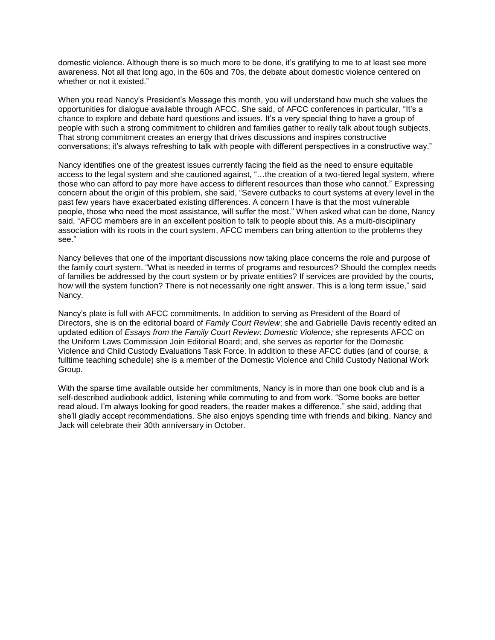domestic violence. Although there is so much more to be done, it's gratifying to me to at least see more awareness. Not all that long ago, in the 60s and 70s, the debate about domestic violence centered on whether or not it existed."

When you read Nancy's President's Message this month, you will understand how much she values the opportunities for dialogue available through AFCC. She said, of AFCC conferences in particular, "It's a chance to explore and debate hard questions and issues. It's a very special thing to have a group of people with such a strong commitment to children and families gather to really talk about tough subjects. That strong commitment creates an energy that drives discussions and inspires constructive conversations; it's always refreshing to talk with people with different perspectives in a constructive way."

Nancy identifies one of the greatest issues currently facing the field as the need to ensure equitable access to the legal system and she cautioned against, "…the creation of a two-tiered legal system, where those who can afford to pay more have access to different resources than those who cannot." Expressing concern about the origin of this problem, she said, "Severe cutbacks to court systems at every level in the past few years have exacerbated existing differences. A concern I have is that the most vulnerable people, those who need the most assistance, will suffer the most." When asked what can be done, Nancy said, "AFCC members are in an excellent position to talk to people about this. As a multi-disciplinary association with its roots in the court system, AFCC members can bring attention to the problems they see."

Nancy believes that one of the important discussions now taking place concerns the role and purpose of the family court system. "What is needed in terms of programs and resources? Should the complex needs of families be addressed by the court system or by private entities? If services are provided by the courts, how will the system function? There is not necessarily one right answer. This is a long term issue," said Nancy.

Nancy's plate is full with AFCC commitments. In addition to serving as President of the Board of Directors, she is on the editorial board of *Family Court Review*; she and Gabrielle Davis recently edited an updated edition of *Essays from the Family Court Review*: *Domestic Violence;* she represents AFCC on the Uniform Laws Commission Join Editorial Board; and, she serves as reporter for the Domestic Violence and Child Custody Evaluations Task Force. In addition to these AFCC duties (and of course, a fulltime teaching schedule) she is a member of the Domestic Violence and Child Custody National Work Group.

With the sparse time available outside her commitments, Nancy is in more than one book club and is a self-described audiobook addict, listening while commuting to and from work. "Some books are better read aloud. I'm always looking for good readers, the reader makes a difference." she said, adding that she'll gladly accept recommendations. She also enjoys spending time with friends and biking. Nancy and Jack will celebrate their 30th anniversary in October.